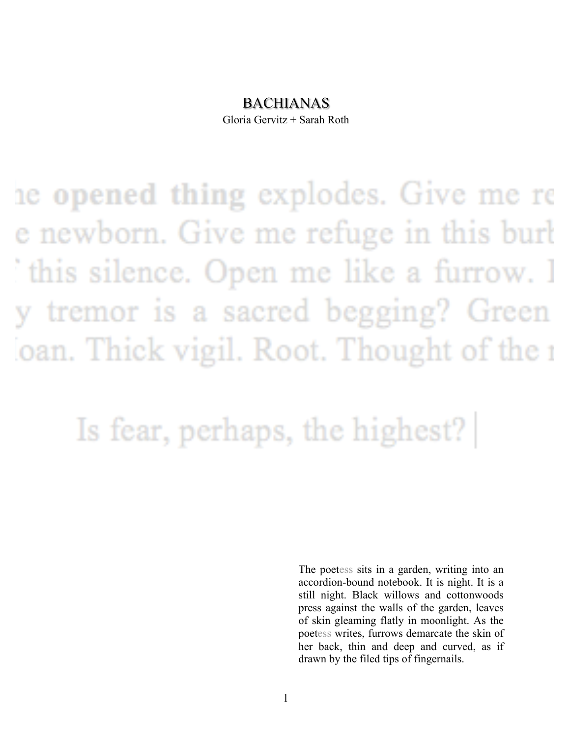### BACHIANAS

Gloria Gervitz + Sarah Roth

the opened thing explodes. Give me re e newborn. Give me refuge in this burt this silence. Open me like a furrow. I y tremor is a sacred begging? Green oan. Thick vigil. Root. Thought of the a

## Is fear, perhaps, the highest?

The poetess sits in a garden, writing into an accordion-bound notebook. It is night. It is a still night. Black willows and cottonwoods press against the walls of the garden, leaves of skin gleaming flatly in moonlight. As the poetess writes, furrows demarcate the skin of her back, thin and deep and curved, as if drawn by the filed tips of fingernails.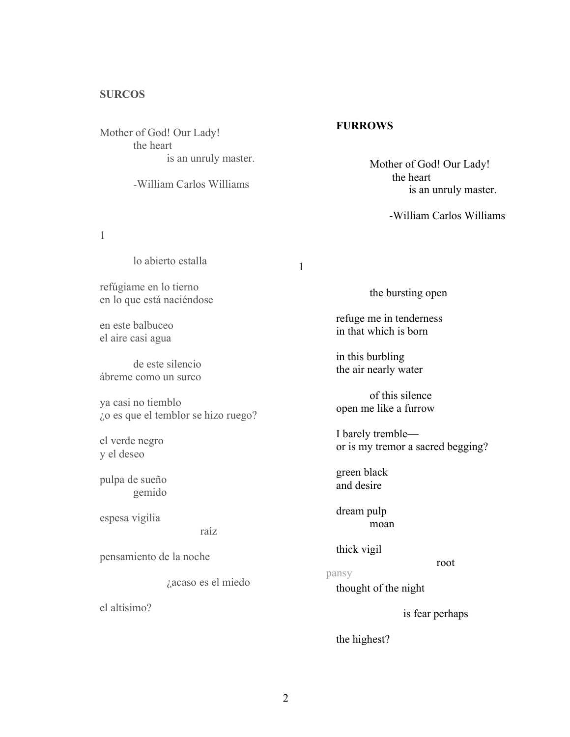#### **SURCOS**

Mother of God! Our Lady! the heart is an unruly master.

the heart -William Carlos Williams

1

lo abierto estalla

refúgiame en lo tierno en lo que está naciéndose

en este balbuceo el aire casi agua

de este silencio ábreme como un surco

ya casi no tiemblo ¿o es que el temblor se hizo ruego?

el verde negro y el deseo

pulpa de sueño gemido

espesa vigilia

raíz

pensamiento de la noche

¿acaso es el miedo

el altísimo?

#### **FURROWS**

1

Mother of God! Our Lady! is an unruly master.

-William Carlos Williams

the bursting open

refuge me in tenderness in that which is born

in this burbling the air nearly water

of this silence open me like a furrow

I barely tremble or is my tremor a sacred begging?

green black and desire

dream pulp moan

thick vigil

#### pansy

thought of the night

is fear perhaps

root

the highest?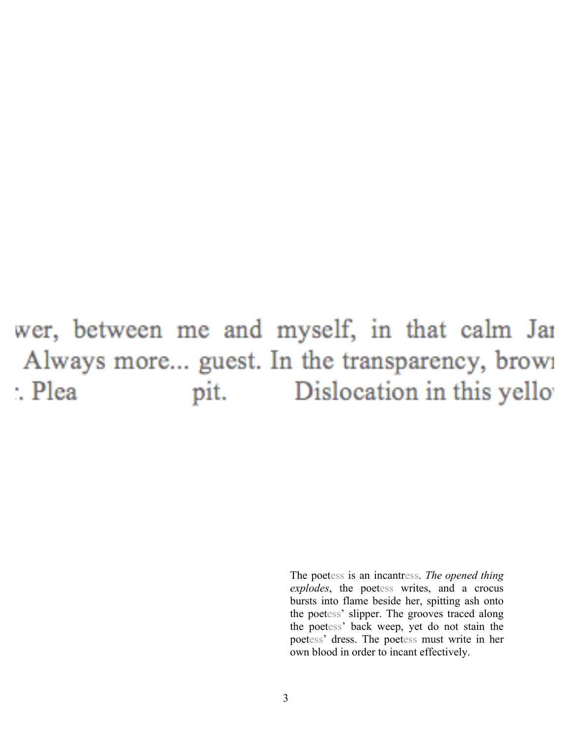#### wer, between me and myself, in that calm Jai Always more... guest. In the transparency, brown : Plea pit. Dislocation in this yello

The poetess is an incantress. *The opened thing explodes*, the poetess writes, and a crocus bursts into flame beside her, spitting ash onto the poetess' slipper. The grooves traced along the poetess' back weep, yet do not stain the poetess' dress. The poetess must write in her own blood in order to incant effectively.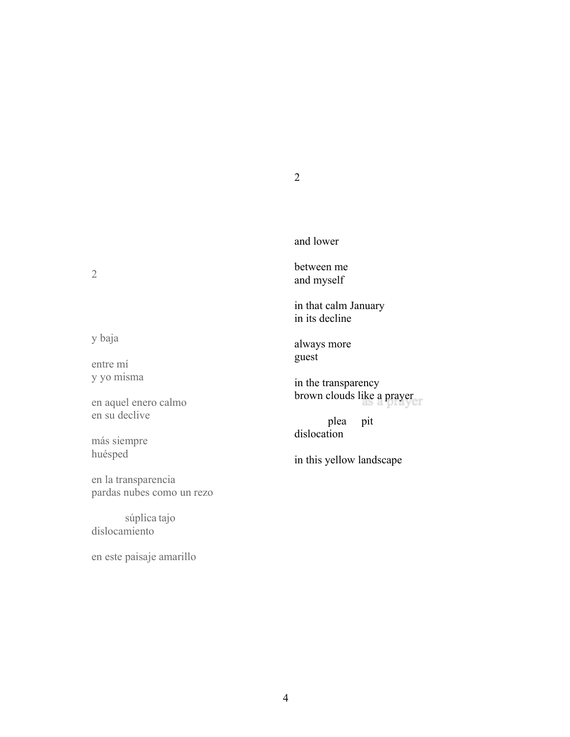2

and lower

between me and myself

in that calm January in its decline

always more guest

in the transparency brown clouds like a prayer

plea pit dislocation

in this yellow landscape

2

y baja

entre mí y yo misma

en aquel enero calmo en su declive

más siempre huésped

en la transparencia pardas nubes como un rezo

súplica tajo dislocamiento

en este paisaje amarillo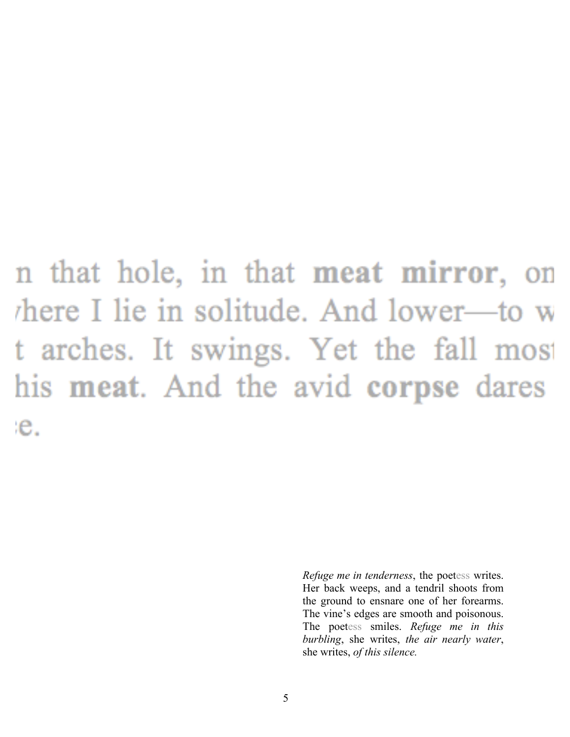n that hole, in that **meat mirror**, on here I lie in solitude. And lower—to w t arches. It swings. Yet the fall most his meat. And the avid corpse dares e.

> *Refuge me in tenderness*, the poetess writes. Her back weeps, and a tendril shoots from the ground to ensnare one of her forearms. The vine's edges are smooth and poisonous. The poetess smiles. *Refuge me in this burbling*, she writes, *the air nearly water*, she writes, *of this silence.*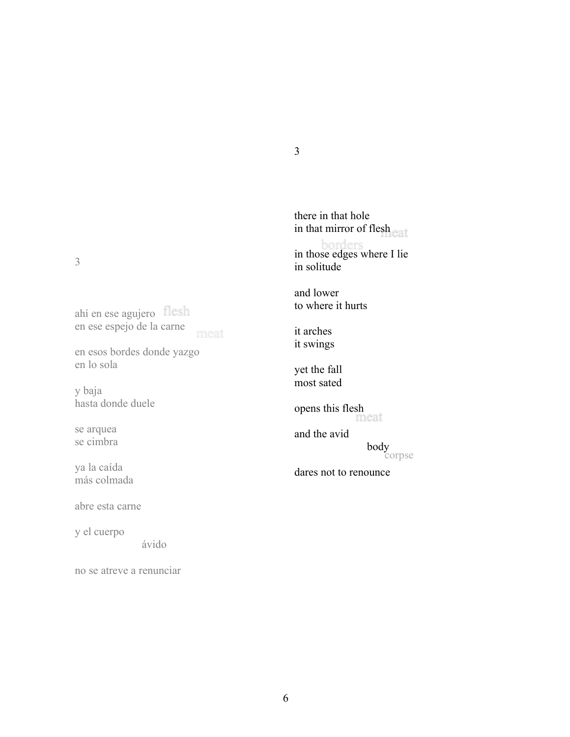3

ahí en ese agujero en ese espejo de la carne meat

en esos bordes donde yazgo en lo sola

y baja hasta donde duele

se arquea se cimbra

ya la caída más colmada

abre esta carne

y el cuerpo

ávido

no se atreve a renunciar

there in that hole in that mirror of flesh<br>eat in those edges where I lie in solitude and lower to where it hurts

it arches it swings

3

yet the fall most sated

opens this flesh

corpse and the avid body

dares not to renounce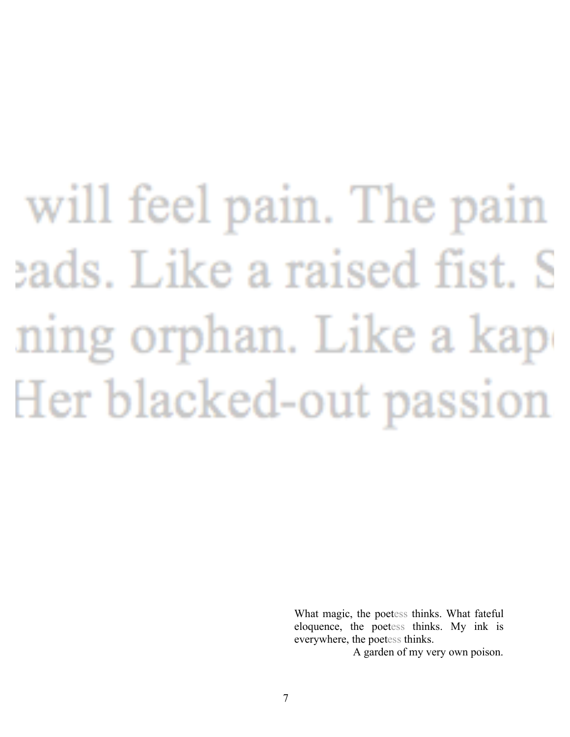# will feel pain. The pain eads. Like a raised fist. S ning orphan. Like a kap Her blacked-out passion

What magic, the poetess thinks. What fateful eloquence, the poetess thinks. My ink is everywhere, the poetess thinks.

A garden of my very own poison.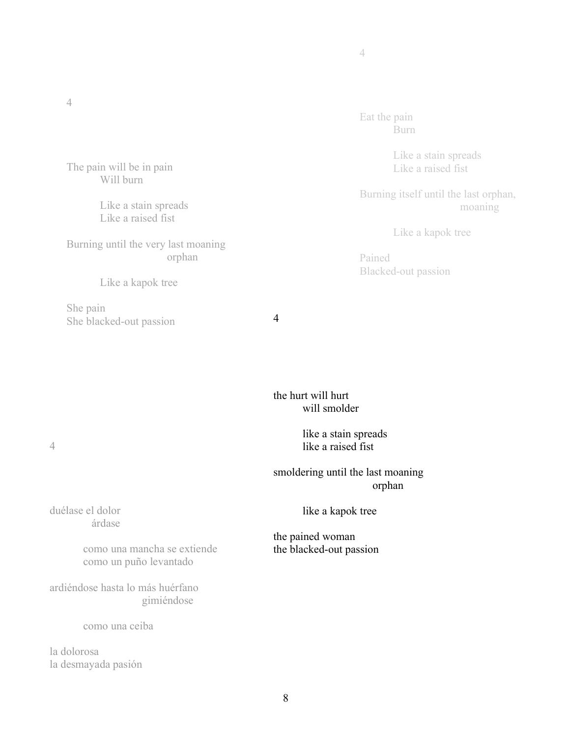Eat the pain Burn

> Like a stain spreads Like a raised fist

Burning itself until the last orphan, moaning

Like a kapok tree

Pained Blacked-out passion

the hurt will hurt will smolder

> like a stain spreads like a raised fist

smoldering until the last moaning orphan

like a kapok tree

the pained woman the blacked-out passion

The pain will be in pain Will burn

> Like a stain spreads Like a raised fist

Burning until the very last moaning orphan

Like a kapok tree

She pain She blacked-out passion 4

duélase el dolor árdase

> como una mancha se extiende como un puño levantado

ardiéndose hasta lo más huérfano gimiéndose

como una ceiba

la dolorosa la desmayada pasión

#### 4

4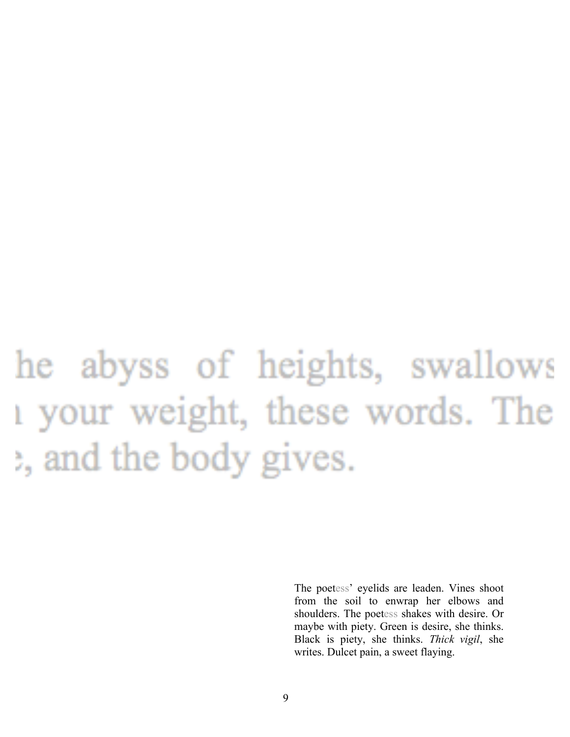## he abyss of heights, swallows 1 your weight, these words. The e, and the body gives.

The poetess' eyelids are leaden. Vines shoot from the soil to enwrap her elbows and shoulders. The poetess shakes with desire. Or maybe with piety. Green is desire, she thinks. Black is piety, she thinks. *Thick vigil*, she writes. Dulcet pain, a sweet flaying.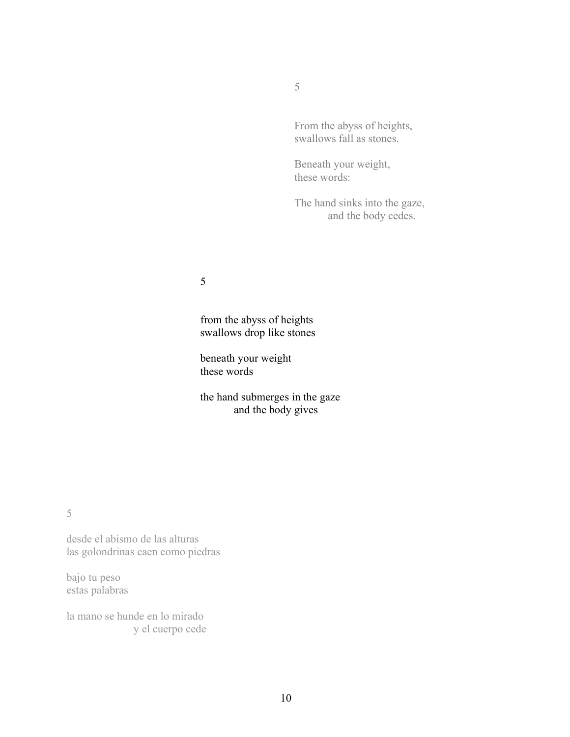5

From the abyss of heights, swallows fall as stones.

Beneath your weight, these words:

The hand sinks into the gaze, and the body cedes.

5

from the abyss of heights swallows drop like stones

beneath your weight these words

the hand submerges in the gaze and the body gives

5

desde el abismo de las alturas las golondrinas caen como piedras

bajo tu peso estas palabras

la mano se hunde en lo mirado y el cuerpo cede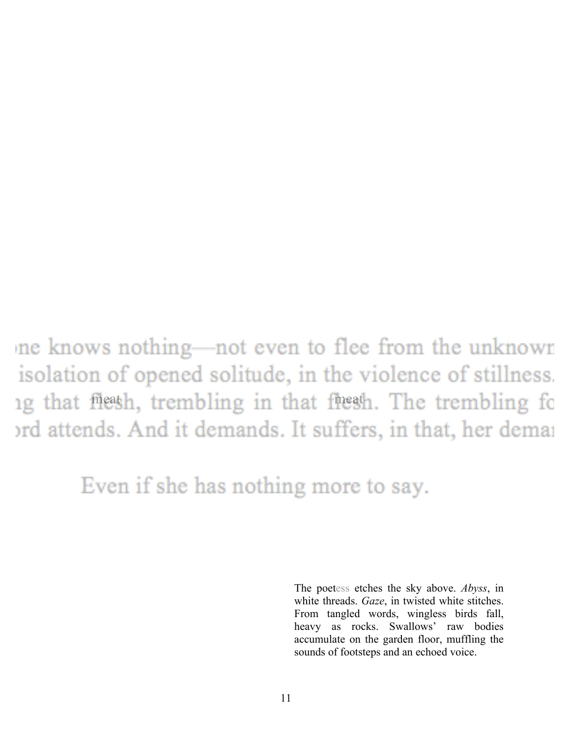ne knows nothing—not even to flee from the unknown isolation of opened solitude, in the violence of stillness. ing that meath, trembling in that freeth. The trembling for ord attends. And it demands. It suffers, in that, her demai

Even if she has nothing more to say.

The poetess etches the sky above. *Abyss*, in white threads. *Gaze*, in twisted white stitches. From tangled words, wingless birds fall, heavy as rocks. Swallows' raw bodies accumulate on the garden floor, muffling the sounds of footsteps and an echoed voice.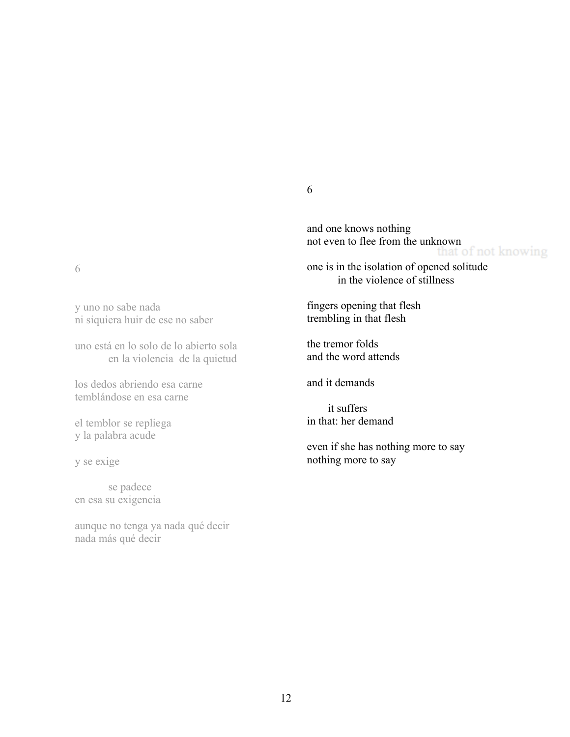6

y uno no sabe nada ni siquiera huir de ese no saber

uno está en lo solo de lo abierto sola en la violencia de la quietud

los dedos abriendo esa carne temblándose en esa carne

el temblor se repliega y la palabra acude

y se exige

se padece en esa su exigencia

aunque no tenga ya nada qué decir nada más qué decir

6

and one knows nothing not even to flee from the unknown<br>that of not knowing

one is in the isolation of opened solitude in the violence of stillness

fingers opening that flesh trembling in that flesh

the tremor folds and the word attends

and it demands

it suffers in that: her demand

even if she has nothing more to say nothing more to say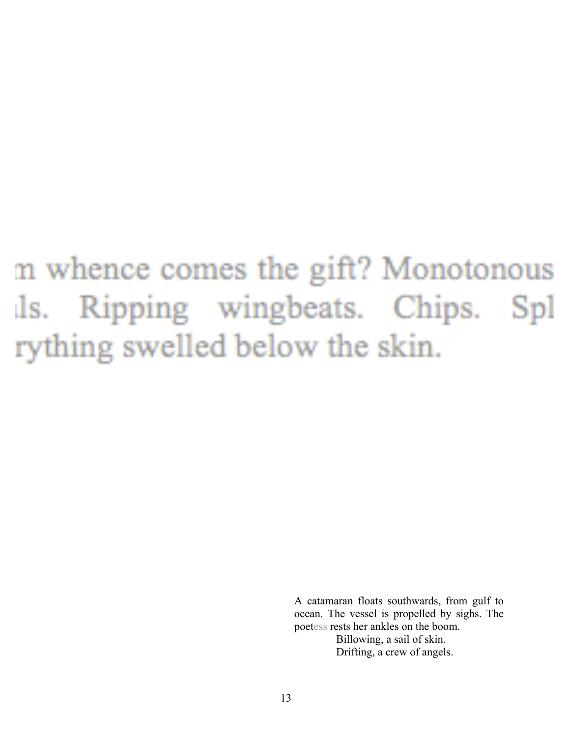### m whence comes the gift? Monotonous Ripping wingbeats. Chips. Spl ls. rything swelled below the skin.

A catamaran floats southwards, from gulf to ocean. The vessel is propelled by sighs. The poetess rests her ankles on the boom. Billowing, a sail of skin. Drifting, a crew of angels.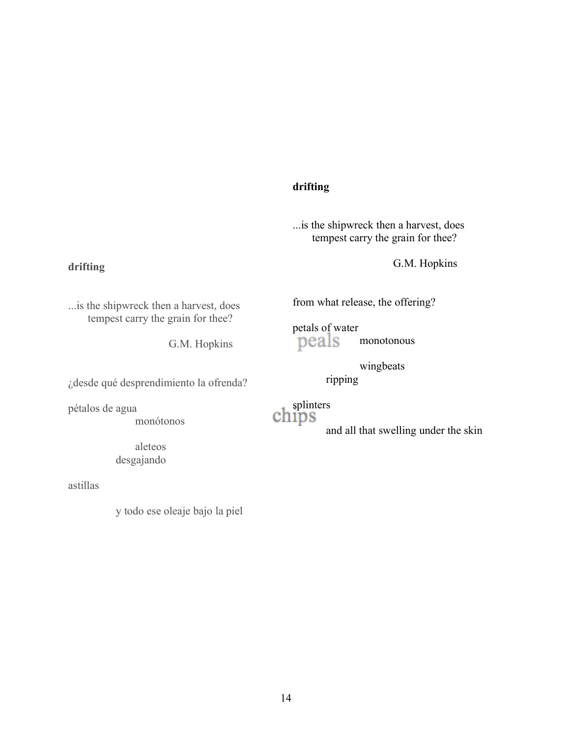#### **drifting**

...is the shipwreck then a harvest, does tempest carry the grain for thee?

G.M. Hopkins

...is the shipwreck then a harvest, does tempest carry the grain for thee?

G.M. Hopkins

¿desde qué desprendimiento la ofrenda?

pétalos de agua

**drifting**

monótonos

aleteos desgajando

astillas

y todo ese oleaje bajo la piel

from what release, the offering?

petals of water<br>peals monotonous

wingbeats

ripping

chips

and all that swelling under the skin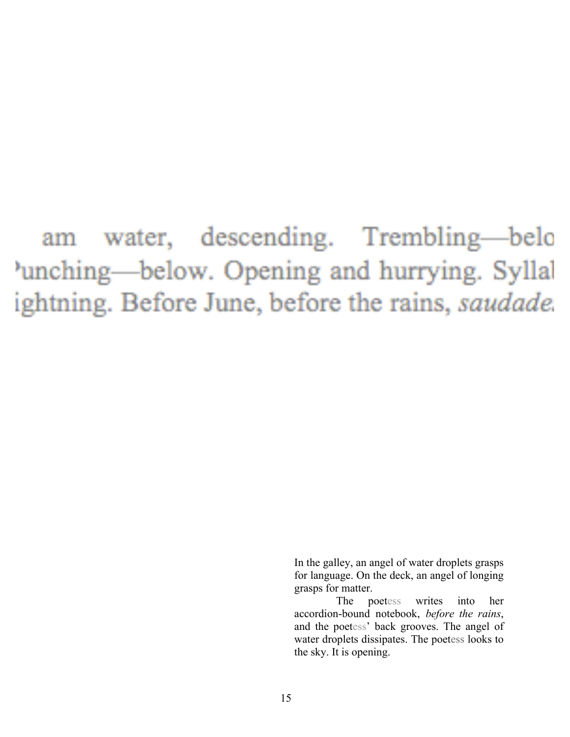water, descending. Trembling—belo am unching—below. Opening and hurrying. Syllal ightning. Before June, before the rains, saudade.

> In the galley, an angel of water droplets grasps for language. On the deck, an angel of longing grasps for matter.

> The poetess writes into her accordion-bound notebook, *before the rains*, and the poetess' back grooves. The angel of water droplets dissipates. The poetess looks to the sky. It is opening.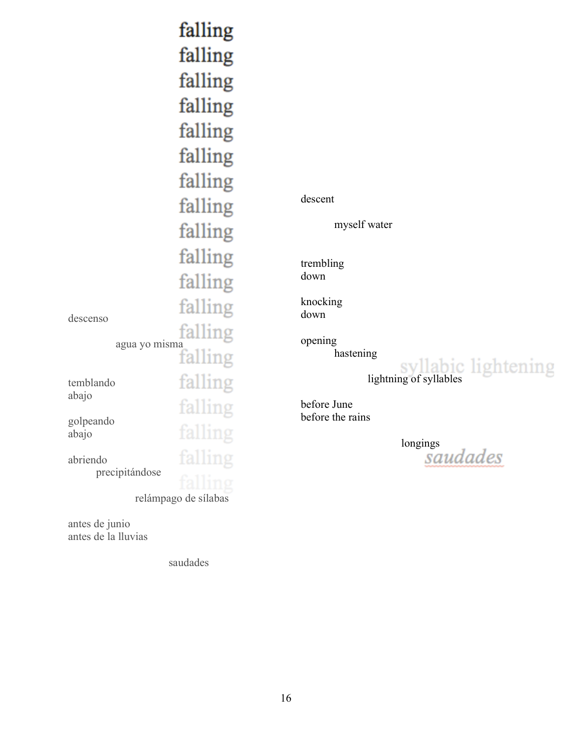|                            | falling<br>falling<br>falling<br>falling<br>falling<br>falling<br>falling<br>falling<br>falling |
|----------------------------|-------------------------------------------------------------------------------------------------|
| descenso                   | falling<br>falling<br>falling                                                                   |
| agua yo misma              | falling<br>falling                                                                              |
| temblando<br>abajo         | falling<br>falling                                                                              |
| golpeando<br>abajo         | .                                                                                               |
| abriendo<br>precipitándose | tallın                                                                                          |
| relámpago de sílabas       |                                                                                                 |

antes de junio antes de la lluvias

saudades

descent

myself water

trembling down

knocking down

opening

hastening

lightning of syllables

before June before the rains

longings<br>Saudades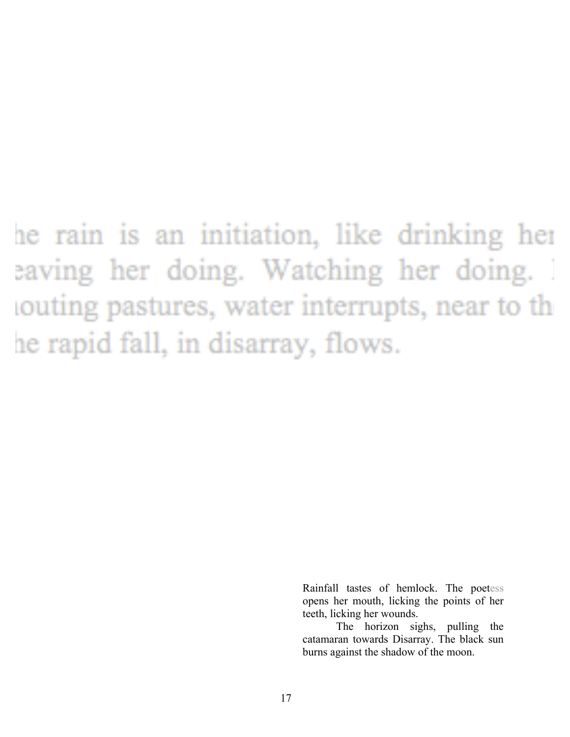### he rain is an initiation, like drinking her eaving her doing. Watching her doing. souting pastures, water interrupts, near to the he rapid fall, in disarray, flows.

Rainfall tastes of hemlock. The poetess opens her mouth, licking the points of her teeth, licking her wounds.

The horizon sighs, pulling the catamaran towards Disarray. The black sun burns against the shadow of the moon.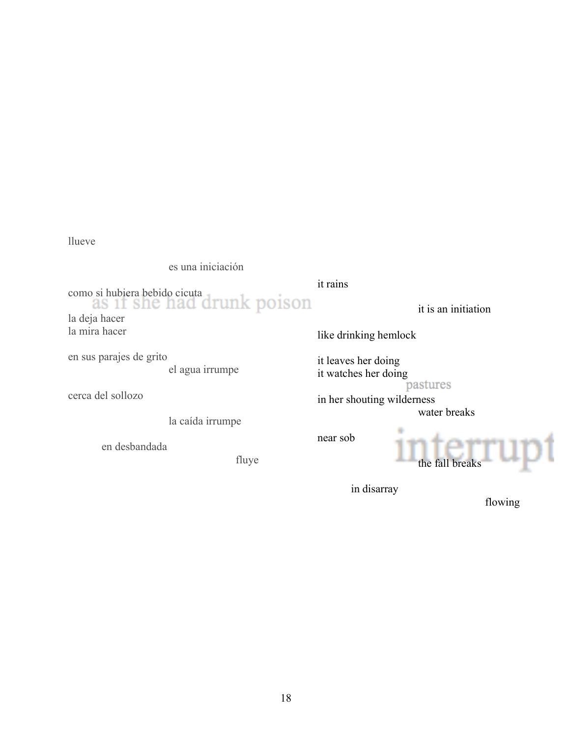llueve

es una iniciación

como si hubiera bebido cicuta la deja hacer

la mira hacer

en sus parajes de grito el agua irrumpe

cerca del sollozo

la caída irrumpe

en desbandada

fluye

it rains

it is an initiation

like drinking hemlock

it leaves her doing it watches her doing

pastures

in her shouting wilderness water breaks

near sob



in disarray

flowing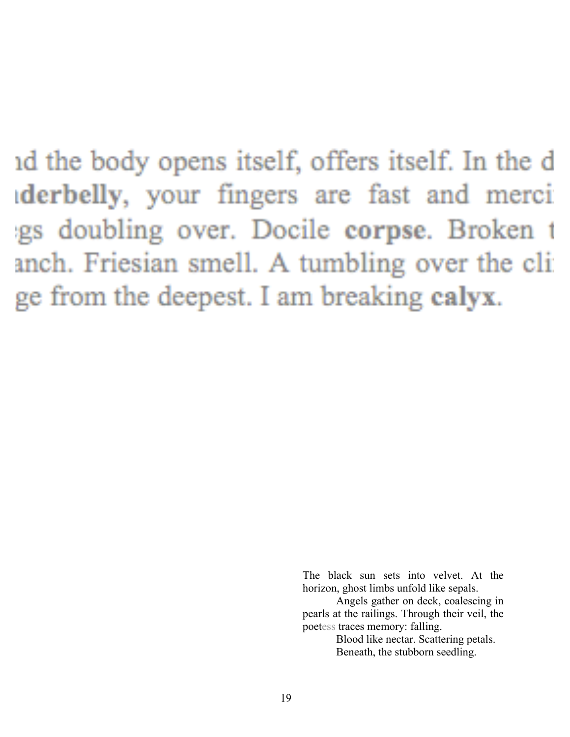id the body opens itself, offers itself. In the d derbelly, your fingers are fast and merci gs doubling over. Docile corpse. Broken t anch. Friesian smell. A tumbling over the cli ge from the deepest. I am breaking calyx.

> The black sun sets into velvet. At the horizon, ghost limbs unfold like sepals.

> Angels gather on deck, coalescing in pearls at the railings. Through their veil, the poetess traces memory: falling.

Blood like nectar. Scattering petals. Beneath, the stubborn seedling.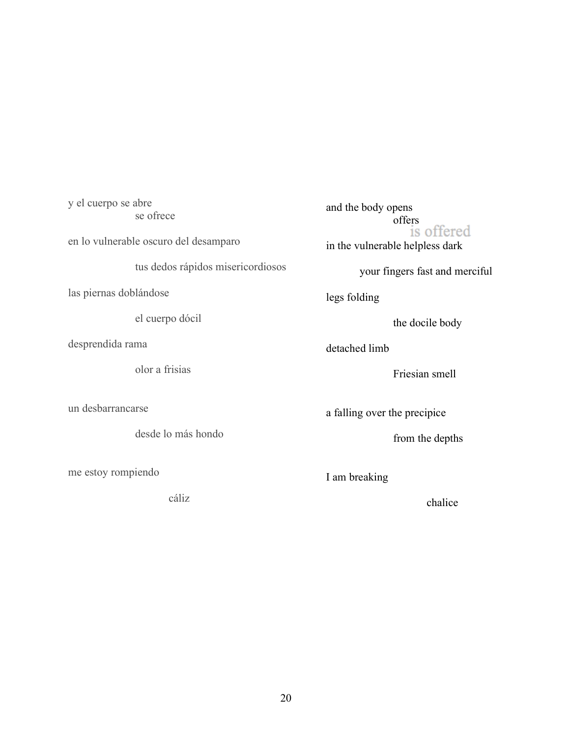y el cuerpo se abre se ofrece

en lo vulnerable oscuro del desamparo

tus dedos rápidos misericordiosos

las piernas doblándose

el cuerpo dócil

desprendida rama

olor a frisias

un desbarrancarse

desde lo más hondo

me estoy rompiendo

cáliz

and the body opens offers<br>is offered in the vulnerable helpless dark

your fingers fast and merciful

legs folding

the docile body

detached limb

Friesian smell

a falling over the precipice

from the depths

I am breaking

chalice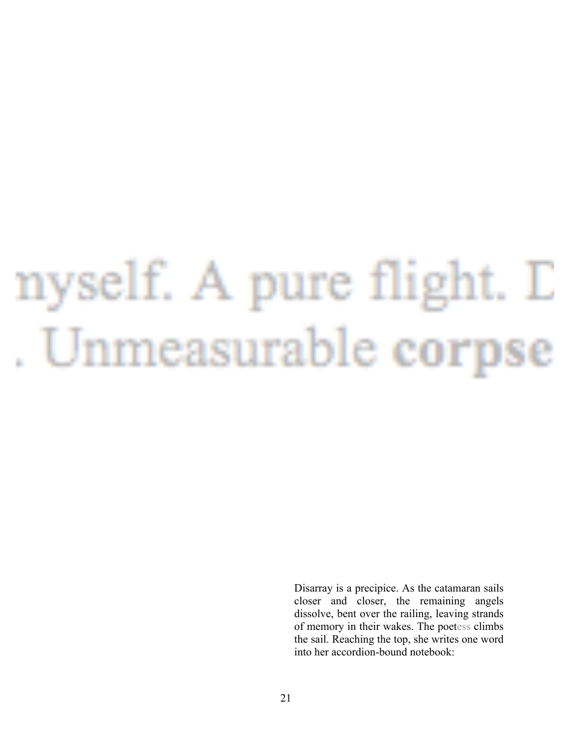# nyself. A pure flight. D Unmeasurable corpse

Disarray is a precipice. As the catamaran sails closer and closer, the remaining angels dissolve, bent over the railing, leaving strands of memory in their wakes. The poetess climbs the sail. Reaching the top, she writes one word into her accordion-bound notebook: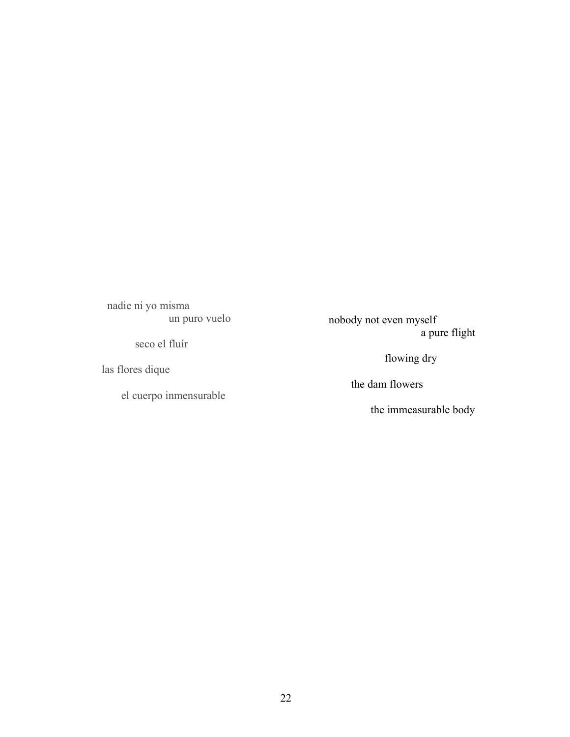nadie ni yo misma un puro vuelo

seco el fluír

las flores dique

el cuerpo inmensurable

 nobody not even myself a pure flight

flowing dry

the dam flowers

the immeasurable body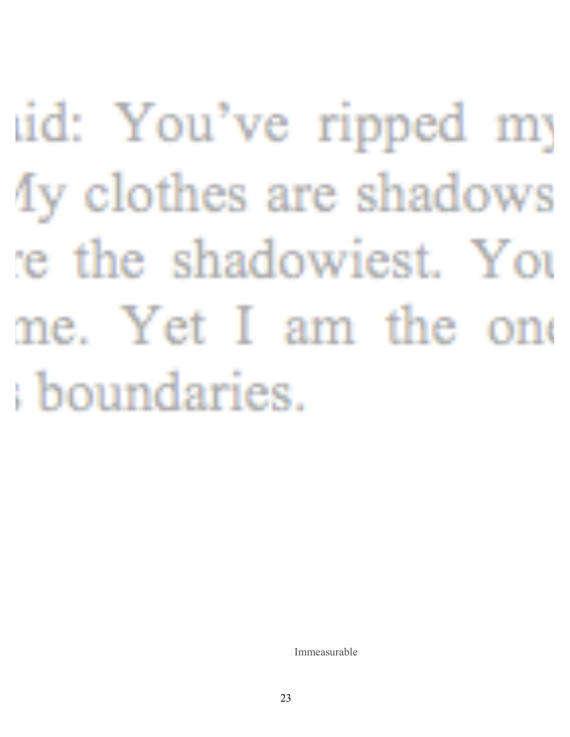uid: You've ripped my Iy clothes are shadows re the shadowiest. You me. Yet I am the one boundaries.

Immeasurable